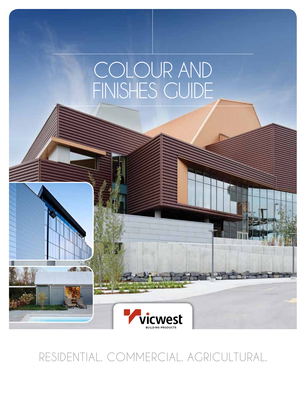## COLOUR AND FINISHES GUIDE



## RESIDENTIAL. COMMERCIAL. AGRICULTURAL.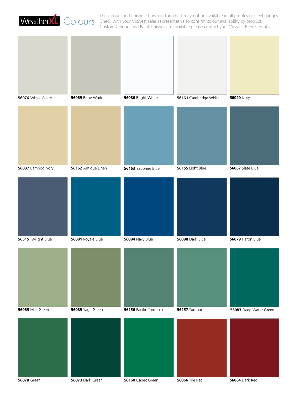

The colours and finishes shown in this chart may not be available in all profiles or steel gauges. Check with your Vicwest sales representative to confirm colour availability by product. COLOUTS Check with your Vicwest sales representative to confirm colour availability by product.<br>Custom Colours and Paint Finishes are available please contact your Vicwest Representative.

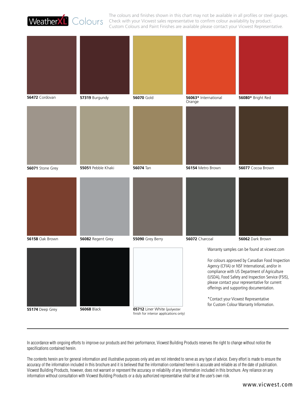

The colours and finishes shown in this chart may not be available in all profiles or steel gauges. Check with your Vicwest sales representative to confirm colour availability by product. Custom Colours and Paint Finishes are available please contact your Vicwest Representative.

| 56472 Cordovan         | 57319 Burgundy     | <b>56070 Gold</b>                                                      | 56063* International<br>Orange                                                                                                                                                                                                                                                                                                                                                                                                          | 56080* Bright Red |
|------------------------|--------------------|------------------------------------------------------------------------|-----------------------------------------------------------------------------------------------------------------------------------------------------------------------------------------------------------------------------------------------------------------------------------------------------------------------------------------------------------------------------------------------------------------------------------------|-------------------|
|                        |                    |                                                                        |                                                                                                                                                                                                                                                                                                                                                                                                                                         |                   |
| 56071 Stone Grey       | 55051 Pebble Khaki | <b>56074 Tan</b>                                                       | 56154 Metro Brown                                                                                                                                                                                                                                                                                                                                                                                                                       | 56077 Cocoa Brown |
|                        |                    |                                                                        |                                                                                                                                                                                                                                                                                                                                                                                                                                         |                   |
| <b>56158 Oak Brown</b> | 56082 Regent Grey  | 55090 Grey Berry                                                       | 56072 Charcoal                                                                                                                                                                                                                                                                                                                                                                                                                          | 56062 Dark Brown  |
|                        |                    |                                                                        | Warranty samples can be found at vicwest.com<br>For colours approved by Canadian Food Inspection<br>Agency (CFIA) or NSF International, and/or in<br>compliance with US Department of Agriculture<br>(USDA), Food Safety and Inspection Service (FSIS),<br>please contact your representative for current<br>offerings and supporting documentation.<br>*Contact your Vicwest Representative<br>for Custom Colour Warranty Information. |                   |
| 55174 Deep Grey        | <b>56068 Black</b> | 05712 Liner White (polyester<br>finish for interior applications only) |                                                                                                                                                                                                                                                                                                                                                                                                                                         |                   |

In accordance with ongoing efforts to improve our products and their performance, Vicwest Building Products reserves the right to change without notice the specifications contained herein.

The contents herein are for general information and illustrative purposes only and are not intended to serve as any type of advice. Every effort is made to ensure the accuracy of the information included in this brochure and it is believed that the information contained herein is accurate and reliable as of the date of publication. Vicwest Building Products, however, does not warrant or represent the accuracy or reliability of any information included in this brochure. Any reliance on any information without consultation with Vicwest Building Products or a duly authorized representative shall be at the user's own risk.